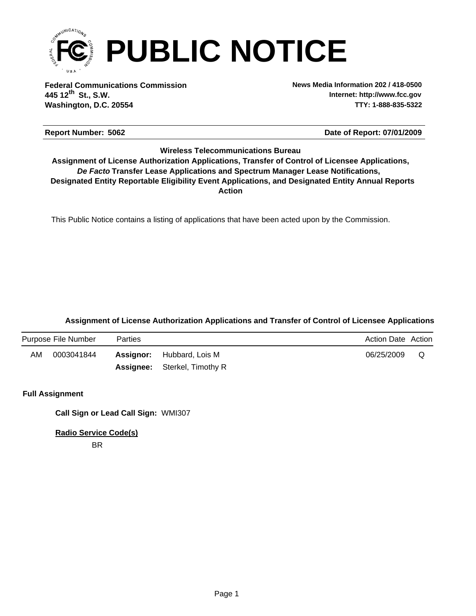

**Federal Communications Commission News Media Information 202 / 418-0500 Washington, D.C. 20554 TTY: 1-888-835-5322 445 12 St., S.W. th**

**Internet: http://www.fcc.gov**

#### **Report Number: 5062 5062 5062 5062 5062 5062 5062 5062 5062 5062 5062 5062 5062 5062 5062 5062 5062 5062 5062 5062 5062 5062 5062 5062 5062 5062 5062 5062 5062 506**

#### **Wireless Telecommunications Bureau**

**Action** *De Facto* **Transfer Lease Applications and Spectrum Manager Lease Notifications, Designated Entity Reportable Eligibility Event Applications, and Designated Entity Annual Reports Assignment of License Authorization Applications, Transfer of Control of Licensee Applications,**

This Public Notice contains a listing of applications that have been acted upon by the Commission.

#### **Assignment of License Authorization Applications and Transfer of Control of Licensee Applications**

|    | Purpose File Number | Parties |                                     | <b>Action Date Action</b> |   |
|----|---------------------|---------|-------------------------------------|---------------------------|---|
| AM | 0003041844          |         | <b>Assignor:</b> Hubbard, Lois M    | 06/25/2009                | O |
|    |                     |         | <b>Assignee:</b> Sterkel, Timothy R |                           |   |

#### **Full Assignment**

**Call Sign or Lead Call Sign:** WMI307

**Radio Service Code(s)**

BR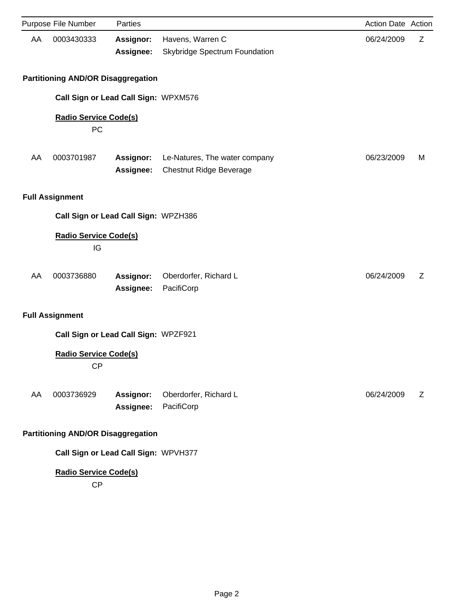|    | Purpose File Number                       | Parties                              |                                                                 | Action Date Action |   |
|----|-------------------------------------------|--------------------------------------|-----------------------------------------------------------------|--------------------|---|
| AA | 0003430333                                | Assignor:<br>Assignee:               | Havens, Warren C<br>Skybridge Spectrum Foundation               | 06/24/2009         | Z |
|    | <b>Partitioning AND/OR Disaggregation</b> |                                      |                                                                 |                    |   |
|    |                                           | Call Sign or Lead Call Sign: WPXM576 |                                                                 |                    |   |
|    | <b>Radio Service Code(s)</b><br>PC        |                                      |                                                                 |                    |   |
| AA | 0003701987                                | Assignor:<br>Assignee:               | Le-Natures, The water company<br><b>Chestnut Ridge Beverage</b> | 06/23/2009         | M |
|    | <b>Full Assignment</b>                    |                                      |                                                                 |                    |   |
|    |                                           | Call Sign or Lead Call Sign: WPZH386 |                                                                 |                    |   |
|    | <b>Radio Service Code(s)</b><br>IG        |                                      |                                                                 |                    |   |
| AA | 0003736880                                | Assignor:<br>Assignee:               | Oberdorfer, Richard L<br>PacifiCorp                             | 06/24/2009         | Z |
|    | <b>Full Assignment</b>                    |                                      |                                                                 |                    |   |
|    |                                           | Call Sign or Lead Call Sign: WPZF921 |                                                                 |                    |   |
|    | <b>Radio Service Code(s)</b><br>CP        |                                      |                                                                 |                    |   |
| AA | 0003736929                                | <b>Assignor:</b><br>Assignee:        | Oberdorfer, Richard L<br>PacifiCorp                             | 06/24/2009         | Ζ |
|    | <b>Partitioning AND/OR Disaggregation</b> |                                      |                                                                 |                    |   |
|    |                                           | Call Sign or Lead Call Sign: WPVH377 |                                                                 |                    |   |
|    | <b>Radio Service Code(s)</b><br><b>CP</b> |                                      |                                                                 |                    |   |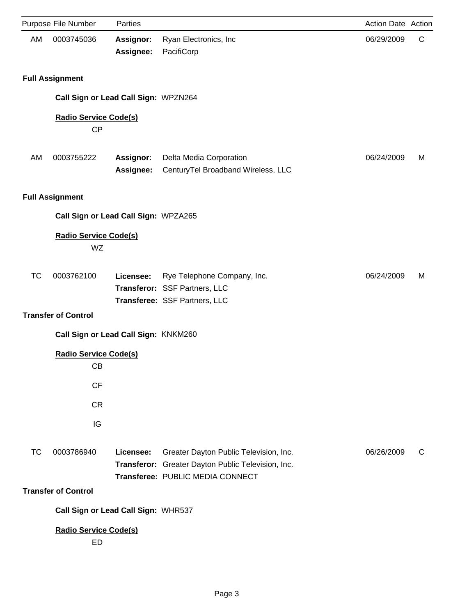|           | Purpose File Number                       | Parties                       |                                                                                                                                  | <b>Action Date Action</b> |   |
|-----------|-------------------------------------------|-------------------------------|----------------------------------------------------------------------------------------------------------------------------------|---------------------------|---|
| AM        | 0003745036                                | <b>Assignor:</b><br>Assignee: | Ryan Electronics, Inc<br>PacifiCorp                                                                                              | 06/29/2009                | C |
|           | <b>Full Assignment</b>                    |                               |                                                                                                                                  |                           |   |
|           | Call Sign or Lead Call Sign: WPZN264      |                               |                                                                                                                                  |                           |   |
|           | <b>Radio Service Code(s)</b><br><b>CP</b> |                               |                                                                                                                                  |                           |   |
| AM        | 0003755222                                | <b>Assignor:</b><br>Assignee: | Delta Media Corporation<br>CenturyTel Broadband Wireless, LLC                                                                    | 06/24/2009                | M |
|           | <b>Full Assignment</b>                    |                               |                                                                                                                                  |                           |   |
|           | Call Sign or Lead Call Sign: WPZA265      |                               |                                                                                                                                  |                           |   |
|           | <b>Radio Service Code(s)</b><br>WZ        |                               |                                                                                                                                  |                           |   |
| <b>TC</b> | 0003762100                                | Licensee:                     | Rye Telephone Company, Inc.<br>Transferor: SSF Partners, LLC<br>Transferee: SSF Partners, LLC                                    | 06/24/2009                | M |
|           | <b>Transfer of Control</b>                |                               |                                                                                                                                  |                           |   |
|           | Call Sign or Lead Call Sign: KNKM260      |                               |                                                                                                                                  |                           |   |
|           | <b>Radio Service Code(s)</b><br>CB        |                               |                                                                                                                                  |                           |   |
|           | CF                                        |                               |                                                                                                                                  |                           |   |
|           | <b>CR</b>                                 |                               |                                                                                                                                  |                           |   |
|           | IG                                        |                               |                                                                                                                                  |                           |   |
| <b>TC</b> | 0003786940                                | Licensee:                     | Greater Dayton Public Television, Inc.<br>Transferor: Greater Dayton Public Television, Inc.<br>Transferee: PUBLIC MEDIA CONNECT | 06/26/2009                | C |
|           | <b>Transfer of Control</b>                |                               |                                                                                                                                  |                           |   |
|           | Call Sign or Lead Call Sign: WHR537       |                               |                                                                                                                                  |                           |   |
|           | <b>Radio Service Code(s)</b><br>ED        |                               |                                                                                                                                  |                           |   |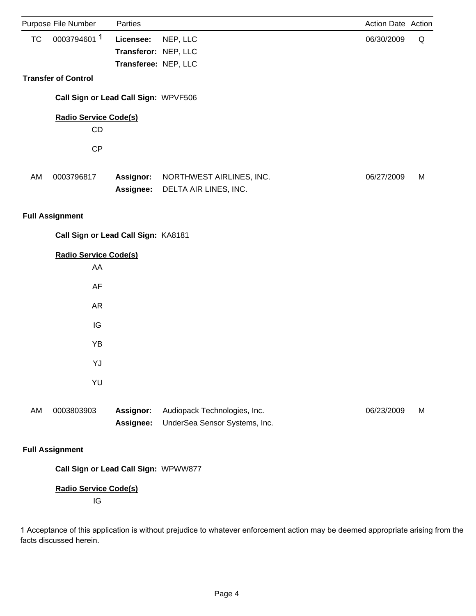|           | Purpose File Number                  | Parties                       |                                                               | Action Date Action |   |
|-----------|--------------------------------------|-------------------------------|---------------------------------------------------------------|--------------------|---|
| <b>TC</b> | 0003794601 1                         | Licensee:                     | NEP, LLC                                                      | 06/30/2009         | Q |
|           |                                      | Transferor: NEP, LLC          |                                                               |                    |   |
|           |                                      | Transferee: NEP, LLC          |                                                               |                    |   |
|           | <b>Transfer of Control</b>           |                               |                                                               |                    |   |
|           | Call Sign or Lead Call Sign: WPVF506 |                               |                                                               |                    |   |
|           | <b>Radio Service Code(s)</b>         |                               |                                                               |                    |   |
|           | CD                                   |                               |                                                               |                    |   |
|           | CP                                   |                               |                                                               |                    |   |
| AM        | 0003796817                           | <b>Assignor:</b><br>Assignee: | NORTHWEST AIRLINES, INC.<br>DELTA AIR LINES, INC.             | 06/27/2009         | M |
|           | <b>Full Assignment</b>               |                               |                                                               |                    |   |
|           | Call Sign or Lead Call Sign: KA8181  |                               |                                                               |                    |   |
|           | <b>Radio Service Code(s)</b>         |                               |                                                               |                    |   |
|           | AA                                   |                               |                                                               |                    |   |
|           | AF                                   |                               |                                                               |                    |   |
|           | <b>AR</b>                            |                               |                                                               |                    |   |
|           | IG                                   |                               |                                                               |                    |   |
|           | YB                                   |                               |                                                               |                    |   |
|           | YJ                                   |                               |                                                               |                    |   |
|           | YU                                   |                               |                                                               |                    |   |
|           |                                      |                               |                                                               |                    |   |
| AM        | 0003803903                           | Assignor:<br>Assignee:        | Audiopack Technologies, Inc.<br>UnderSea Sensor Systems, Inc. | 06/23/2009         | M |
|           | <b>Full Assignment</b>               |                               |                                                               |                    |   |
|           | Call Sign or Lead Call Sign: WPWW877 |                               |                                                               |                    |   |

IG

1 Acceptance of this application is without prejudice to whatever enforcement action may be deemed appropriate arising from the facts discussed herein.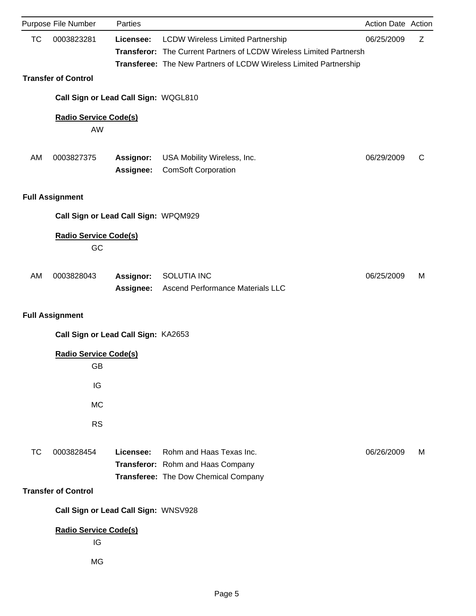|           | Purpose File Number                  | Parties                |                                                                                                                                                                                      | Action Date Action |   |
|-----------|--------------------------------------|------------------------|--------------------------------------------------------------------------------------------------------------------------------------------------------------------------------------|--------------------|---|
| <b>TC</b> | 0003823281                           | Licensee:              | <b>LCDW Wireless Limited Partnership</b><br>Transferor: The Current Partners of LCDW Wireless Limited Partnersh<br>Transferee: The New Partners of LCDW Wireless Limited Partnership | 06/25/2009         | Z |
|           | <b>Transfer of Control</b>           |                        |                                                                                                                                                                                      |                    |   |
|           | Call Sign or Lead Call Sign: WQGL810 |                        |                                                                                                                                                                                      |                    |   |
|           | <b>Radio Service Code(s)</b><br>AW   |                        |                                                                                                                                                                                      |                    |   |
| AM        | 0003827375                           | Assignor:<br>Assignee: | USA Mobility Wireless, Inc.<br><b>ComSoft Corporation</b>                                                                                                                            | 06/29/2009         | C |
|           | <b>Full Assignment</b>               |                        |                                                                                                                                                                                      |                    |   |
|           | Call Sign or Lead Call Sign: WPQM929 |                        |                                                                                                                                                                                      |                    |   |
|           | <b>Radio Service Code(s)</b><br>GC   |                        |                                                                                                                                                                                      |                    |   |
| AM        | 0003828043                           | Assignor:<br>Assignee: | SOLUTIA INC<br><b>Ascend Performance Materials LLC</b>                                                                                                                               | 06/25/2009         | M |
|           | <b>Full Assignment</b>               |                        |                                                                                                                                                                                      |                    |   |
|           | Call Sign or Lead Call Sign: KA2653  |                        |                                                                                                                                                                                      |                    |   |
|           | <b>Radio Service Code(s)</b><br>GB   |                        |                                                                                                                                                                                      |                    |   |
|           | IG                                   |                        |                                                                                                                                                                                      |                    |   |
|           | <b>MC</b>                            |                        |                                                                                                                                                                                      |                    |   |
|           | <b>RS</b>                            |                        |                                                                                                                                                                                      |                    |   |
| <b>TC</b> | 0003828454                           | Licensee:              | Rohm and Haas Texas Inc.<br>Transferor: Rohm and Haas Company<br>Transferee: The Dow Chemical Company                                                                                | 06/26/2009         | M |
|           | <b>Transfer of Control</b>           |                        |                                                                                                                                                                                      |                    |   |
|           | Call Sign or Lead Call Sign: WNSV928 |                        |                                                                                                                                                                                      |                    |   |
|           | <b>Radio Service Code(s)</b><br>IG   |                        |                                                                                                                                                                                      |                    |   |
|           | MG                                   |                        |                                                                                                                                                                                      |                    |   |
|           |                                      |                        |                                                                                                                                                                                      |                    |   |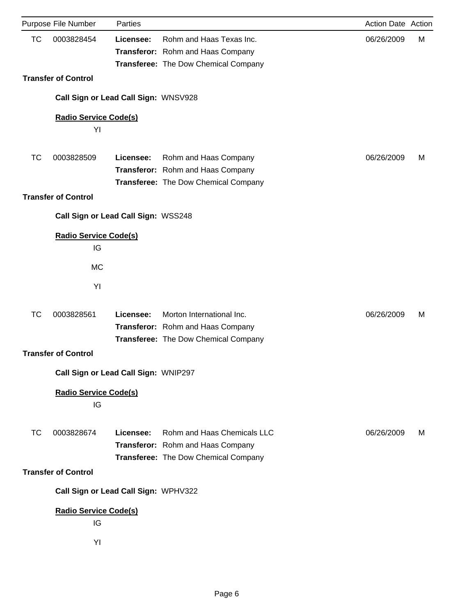|           | Purpose File Number                      | Parties   |                                                                                                          | Action Date Action |   |
|-----------|------------------------------------------|-----------|----------------------------------------------------------------------------------------------------------|--------------------|---|
| <b>TC</b> | 0003828454                               | Licensee: | Rohm and Haas Texas Inc.<br>Transferor: Rohm and Haas Company<br>Transferee: The Dow Chemical Company    | 06/26/2009         | М |
|           | <b>Transfer of Control</b>               |           |                                                                                                          |                    |   |
|           | Call Sign or Lead Call Sign: WNSV928     |           |                                                                                                          |                    |   |
|           | <b>Radio Service Code(s)</b><br>YI       |           |                                                                                                          |                    |   |
| TC        | 0003828509                               | Licensee: | Rohm and Haas Company<br>Transferor: Rohm and Haas Company<br>Transferee: The Dow Chemical Company       | 06/26/2009         | M |
|           | <b>Transfer of Control</b>               |           |                                                                                                          |                    |   |
|           | Call Sign or Lead Call Sign: WSS248      |           |                                                                                                          |                    |   |
|           | <b>Radio Service Code(s)</b><br>IG       |           |                                                                                                          |                    |   |
|           | <b>MC</b>                                |           |                                                                                                          |                    |   |
|           | YI                                       |           |                                                                                                          |                    |   |
| <b>TC</b> | 0003828561                               | Licensee: | Morton International Inc.<br>Transferor: Rohm and Haas Company<br>Transferee: The Dow Chemical Company   | 06/26/2009         | M |
|           | <b>Transfer of Control</b>               |           |                                                                                                          |                    |   |
|           | Call Sign or Lead Call Sign: WNIP297     |           |                                                                                                          |                    |   |
|           | <b>Radio Service Code(s)</b><br>IG       |           |                                                                                                          |                    |   |
| ТC        | 0003828674                               | Licensee: | Rohm and Haas Chemicals LLC<br>Transferor: Rohm and Haas Company<br>Transferee: The Dow Chemical Company | 06/26/2009         | M |
|           | <b>Transfer of Control</b>               |           |                                                                                                          |                    |   |
|           | Call Sign or Lead Call Sign: WPHV322     |           |                                                                                                          |                    |   |
|           | <b>Radio Service Code(s)</b><br>IG<br>YI |           |                                                                                                          |                    |   |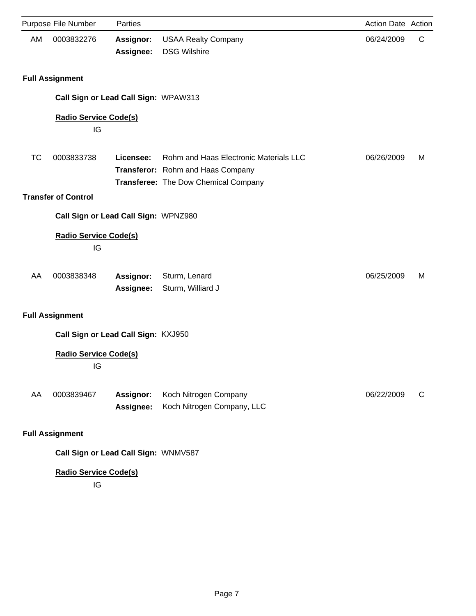|           | Purpose File Number                  | Parties                       |                                                                                                                     | Action Date Action |   |  |
|-----------|--------------------------------------|-------------------------------|---------------------------------------------------------------------------------------------------------------------|--------------------|---|--|
| AM        | 0003832276                           | <b>Assignor:</b><br>Assignee: | <b>USAA Realty Company</b><br><b>DSG Wilshire</b>                                                                   | 06/24/2009         | C |  |
|           | <b>Full Assignment</b>               |                               |                                                                                                                     |                    |   |  |
|           | Call Sign or Lead Call Sign: WPAW313 |                               |                                                                                                                     |                    |   |  |
|           | <b>Radio Service Code(s)</b><br>IG   |                               |                                                                                                                     |                    |   |  |
| <b>TC</b> | 0003833738                           | Licensee:                     | Rohm and Haas Electronic Materials LLC<br>Transferor: Rohm and Haas Company<br>Transferee: The Dow Chemical Company | 06/26/2009         | M |  |
|           | <b>Transfer of Control</b>           |                               |                                                                                                                     |                    |   |  |
|           | Call Sign or Lead Call Sign: WPNZ980 |                               |                                                                                                                     |                    |   |  |
|           | <b>Radio Service Code(s)</b><br>IG   |                               |                                                                                                                     |                    |   |  |
| AA        | 0003838348                           | Assignor:<br>Assignee:        | Sturm, Lenard<br>Sturm, Williard J                                                                                  | 06/25/2009         | M |  |
|           | <b>Full Assignment</b>               |                               |                                                                                                                     |                    |   |  |
|           | Call Sign or Lead Call Sign: KXJ950  |                               |                                                                                                                     |                    |   |  |
|           | <b>Radio Service Code(s)</b><br>IG   |                               |                                                                                                                     |                    |   |  |
| AA        | 0003839467                           | <b>Assignor:</b><br>Assignee: | Koch Nitrogen Company<br>Koch Nitrogen Company, LLC                                                                 | 06/22/2009         | C |  |
|           | <b>Full Assignment</b>               |                               |                                                                                                                     |                    |   |  |
|           | Call Sign or Lead Call Sign: WNMV587 |                               |                                                                                                                     |                    |   |  |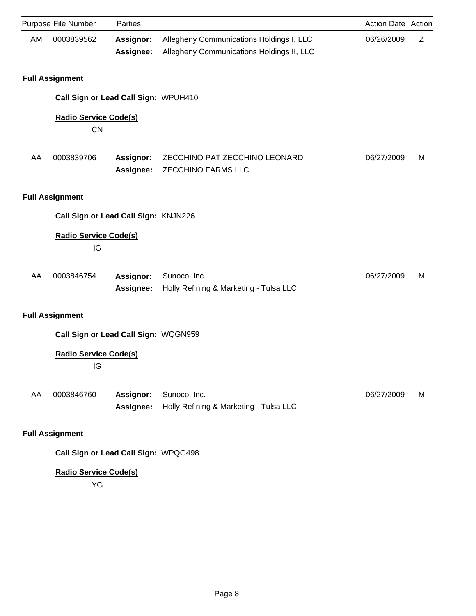|    | Purpose File Number                       | Parties                       |                                                                                       | Action Date Action |   |
|----|-------------------------------------------|-------------------------------|---------------------------------------------------------------------------------------|--------------------|---|
| AM | 0003839562                                | <b>Assignor:</b><br>Assignee: | Allegheny Communications Holdings I, LLC<br>Allegheny Communications Holdings II, LLC | 06/26/2009         | Z |
|    | <b>Full Assignment</b>                    |                               |                                                                                       |                    |   |
|    | Call Sign or Lead Call Sign: WPUH410      |                               |                                                                                       |                    |   |
|    | <b>Radio Service Code(s)</b><br><b>CN</b> |                               |                                                                                       |                    |   |
| AA | 0003839706                                | Assignor:<br><b>Assignee:</b> | ZECCHINO PAT ZECCHINO LEONARD<br><b>ZECCHINO FARMS LLC</b>                            | 06/27/2009         | M |
|    | <b>Full Assignment</b>                    |                               |                                                                                       |                    |   |
|    | Call Sign or Lead Call Sign: KNJN226      |                               |                                                                                       |                    |   |
|    | <b>Radio Service Code(s)</b><br>IG        |                               |                                                                                       |                    |   |
| AA | 0003846754                                | Assignor:<br>Assignee:        | Sunoco, Inc.<br>Holly Refining & Marketing - Tulsa LLC                                | 06/27/2009         | M |
|    | <b>Full Assignment</b>                    |                               |                                                                                       |                    |   |
|    | Call Sign or Lead Call Sign: WQGN959      |                               |                                                                                       |                    |   |
|    | <b>Radio Service Code(s)</b><br>IG        |                               |                                                                                       |                    |   |
| AA | 0003846760                                | Assignor:<br>Assignee:        | Sunoco, Inc.<br>Holly Refining & Marketing - Tulsa LLC                                | 06/27/2009         | M |
|    | <b>Full Assignment</b>                    |                               |                                                                                       |                    |   |
|    | Call Sign or Lead Call Sign: WPQG498      |                               |                                                                                       |                    |   |

YG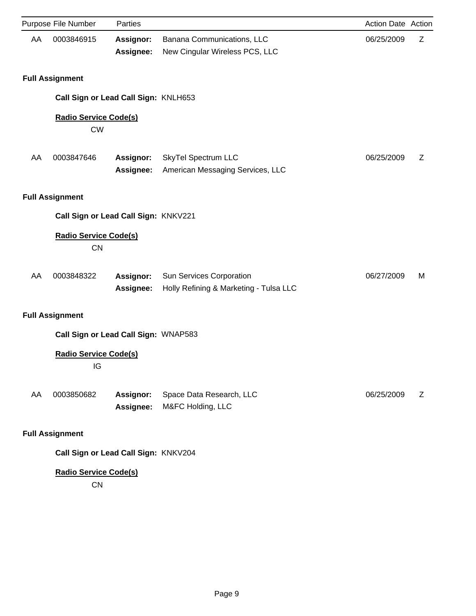|    | Purpose File Number                       | Parties                       |                                                                    | Action Date Action |   |
|----|-------------------------------------------|-------------------------------|--------------------------------------------------------------------|--------------------|---|
| AA | 0003846915                                | <b>Assignor:</b><br>Assignee: | Banana Communications, LLC<br>New Cingular Wireless PCS, LLC       | 06/25/2009         | Z |
|    | <b>Full Assignment</b>                    |                               |                                                                    |                    |   |
|    | Call Sign or Lead Call Sign: KNLH653      |                               |                                                                    |                    |   |
|    | <b>Radio Service Code(s)</b><br><b>CW</b> |                               |                                                                    |                    |   |
| AA | 0003847646                                | Assignor:<br>Assignee:        | SkyTel Spectrum LLC<br>American Messaging Services, LLC            | 06/25/2009         | Z |
|    | <b>Full Assignment</b>                    |                               |                                                                    |                    |   |
|    | Call Sign or Lead Call Sign: KNKV221      |                               |                                                                    |                    |   |
|    | <b>Radio Service Code(s)</b><br><b>CN</b> |                               |                                                                    |                    |   |
| AA | 0003848322                                | <b>Assignor:</b><br>Assignee: | Sun Services Corporation<br>Holly Refining & Marketing - Tulsa LLC | 06/27/2009         | M |
|    | <b>Full Assignment</b>                    |                               |                                                                    |                    |   |
|    | Call Sign or Lead Call Sign: WNAP583      |                               |                                                                    |                    |   |
|    | <b>Radio Service Code(s)</b><br>IG        |                               |                                                                    |                    |   |
| AA | 0003850682                                | Assignor:<br>Assignee:        | Space Data Research, LLC<br>M&FC Holding, LLC                      | 06/25/2009         | Ζ |
|    | <b>Full Assignment</b>                    |                               |                                                                    |                    |   |
|    | Call Sign or Lead Call Sign: KNKV204      |                               |                                                                    |                    |   |

CN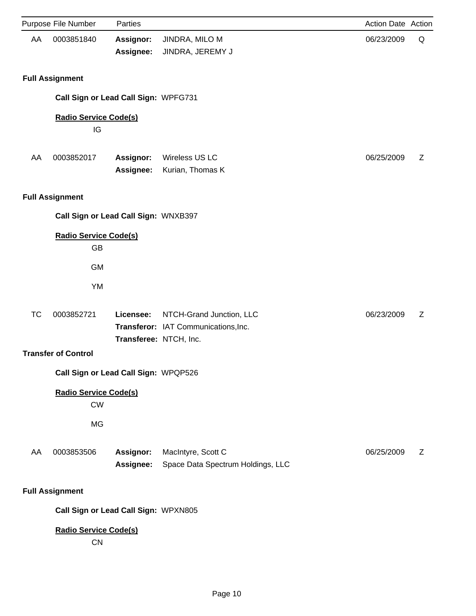|           | Purpose File Number                       | Parties                             |                                                                  | Action Date Action |   |
|-----------|-------------------------------------------|-------------------------------------|------------------------------------------------------------------|--------------------|---|
| AA        | 0003851840                                | Assignor:<br>Assignee:              | JINDRA, MILO M<br>JINDRA, JEREMY J                               | 06/23/2009         | Q |
|           | <b>Full Assignment</b>                    |                                     |                                                                  |                    |   |
|           | Call Sign or Lead Call Sign: WPFG731      |                                     |                                                                  |                    |   |
|           | <b>Radio Service Code(s)</b><br>IG        |                                     |                                                                  |                    |   |
| AA        | 0003852017                                | Assignor:<br>Assignee:              | Wireless US LC<br>Kurian, Thomas K                               | 06/25/2009         | Z |
|           | <b>Full Assignment</b>                    |                                     |                                                                  |                    |   |
|           | Call Sign or Lead Call Sign: WNXB397      |                                     |                                                                  |                    |   |
|           | <b>Radio Service Code(s)</b><br><b>GB</b> |                                     |                                                                  |                    |   |
|           | <b>GM</b>                                 |                                     |                                                                  |                    |   |
|           | <b>YM</b>                                 |                                     |                                                                  |                    |   |
| <b>TC</b> | 0003852721                                | Licensee:<br>Transferee: NTCH, Inc. | NTCH-Grand Junction, LLC<br>Transferor: IAT Communications, Inc. | 06/23/2009         | Z |
|           | <b>Transfer of Control</b>                |                                     |                                                                  |                    |   |
|           | Call Sign or Lead Call Sign: WPQP526      |                                     |                                                                  |                    |   |
|           | <b>Radio Service Code(s)</b><br><b>CW</b> |                                     |                                                                  |                    |   |
|           | <b>MG</b>                                 |                                     |                                                                  |                    |   |
| AA        | 0003853506                                | Assignor:<br>Assignee:              | MacIntyre, Scott C<br>Space Data Spectrum Holdings, LLC          | 06/25/2009         | Z |
|           | <b>Full Assignment</b>                    |                                     |                                                                  |                    |   |
|           | Call Sign or Lead Call Sign: WPXN805      |                                     |                                                                  |                    |   |
|           | <b>Radio Service Code(s)</b><br><b>CN</b> |                                     |                                                                  |                    |   |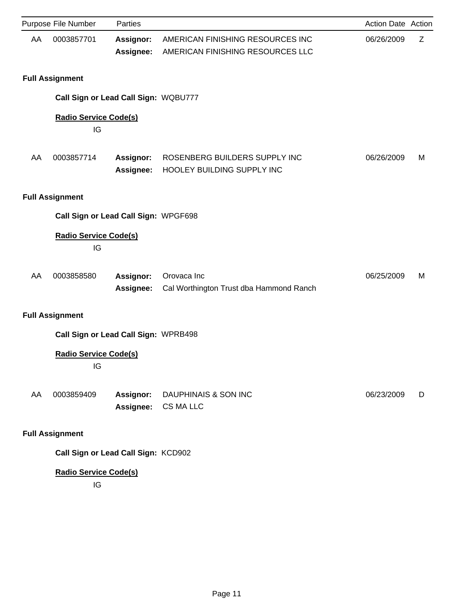|    | Purpose File Number                  | Parties                       |                                                                      | Action Date Action |   |
|----|--------------------------------------|-------------------------------|----------------------------------------------------------------------|--------------------|---|
| AA | 0003857701                           | <b>Assignor:</b><br>Assignee: | AMERICAN FINISHING RESOURCES INC<br>AMERICAN FINISHING RESOURCES LLC | 06/26/2009         | Z |
|    | <b>Full Assignment</b>               |                               |                                                                      |                    |   |
|    | Call Sign or Lead Call Sign: WQBU777 |                               |                                                                      |                    |   |
|    | <b>Radio Service Code(s)</b><br>IG   |                               |                                                                      |                    |   |
| AA | 0003857714                           | Assignor:<br>Assignee:        | ROSENBERG BUILDERS SUPPLY INC<br>HOOLEY BUILDING SUPPLY INC          | 06/26/2009         | M |
|    | <b>Full Assignment</b>               |                               |                                                                      |                    |   |
|    | Call Sign or Lead Call Sign: WPGF698 |                               |                                                                      |                    |   |
|    | <b>Radio Service Code(s)</b><br>IG   |                               |                                                                      |                    |   |
| AA | 0003858580                           | Assignor:<br><b>Assignee:</b> | Orovaca Inc<br>Cal Worthington Trust dba Hammond Ranch               | 06/25/2009         | M |
|    | <b>Full Assignment</b>               |                               |                                                                      |                    |   |
|    | Call Sign or Lead Call Sign: WPRB498 |                               |                                                                      |                    |   |
|    | <b>Radio Service Code(s)</b><br>IG   |                               |                                                                      |                    |   |
| AA | 0003859409                           | <b>Assignor:</b><br>Assignee: | <b>DAUPHINAIS &amp; SON INC</b><br>CS MA LLC                         | 06/23/2009         | D |
|    | <b>Full Assignment</b>               |                               |                                                                      |                    |   |
|    | Call Sign or Lead Call Sign: KCD902  |                               |                                                                      |                    |   |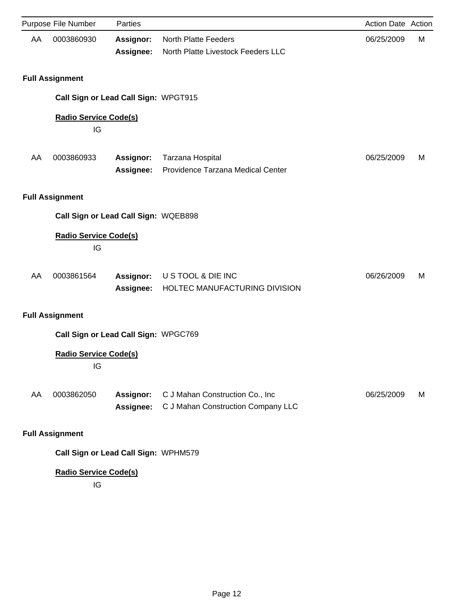|    | Purpose File Number                  | Parties                       |                                                                       | Action Date Action |   |
|----|--------------------------------------|-------------------------------|-----------------------------------------------------------------------|--------------------|---|
| AA | 0003860930                           | <b>Assignor:</b><br>Assignee: | <b>North Platte Feeders</b><br>North Platte Livestock Feeders LLC     | 06/25/2009         | M |
|    | <b>Full Assignment</b>               |                               |                                                                       |                    |   |
|    | Call Sign or Lead Call Sign: WPGT915 |                               |                                                                       |                    |   |
|    | <b>Radio Service Code(s)</b><br>IG   |                               |                                                                       |                    |   |
| AA | 0003860933                           | Assignor:<br><b>Assignee:</b> | Tarzana Hospital<br>Providence Tarzana Medical Center                 | 06/25/2009         | M |
|    | <b>Full Assignment</b>               |                               |                                                                       |                    |   |
|    | Call Sign or Lead Call Sign: WQEB898 |                               |                                                                       |                    |   |
|    | <b>Radio Service Code(s)</b><br>IG   |                               |                                                                       |                    |   |
| AA | 0003861564                           | Assignor:<br>Assignee:        | U S TOOL & DIE INC<br>HOLTEC MANUFACTURING DIVISION                   | 06/26/2009         | M |
|    | <b>Full Assignment</b>               |                               |                                                                       |                    |   |
|    | Call Sign or Lead Call Sign: WPGC769 |                               |                                                                       |                    |   |
|    | <b>Radio Service Code(s)</b><br>IG   |                               |                                                                       |                    |   |
| AA | 0003862050                           | <b>Assignor:</b><br>Assignee: | C J Mahan Construction Co., Inc<br>C J Mahan Construction Company LLC | 06/25/2009         | M |
|    | <b>Full Assignment</b>               |                               |                                                                       |                    |   |

**Call Sign or Lead Call Sign:** WPHM579

# **Radio Service Code(s)**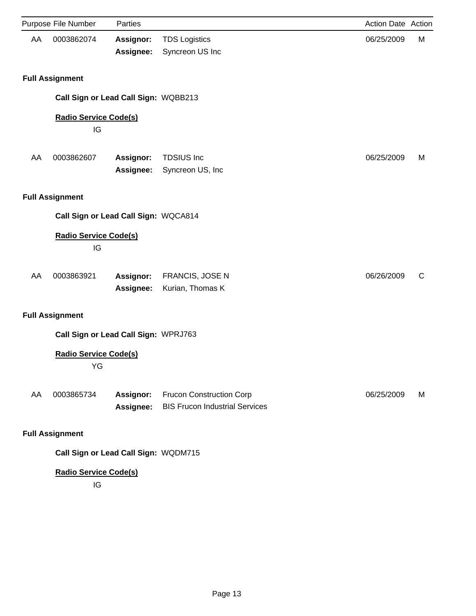|    | Purpose File Number                  | Parties                       |                                                                          | Action Date Action |   |
|----|--------------------------------------|-------------------------------|--------------------------------------------------------------------------|--------------------|---|
| AA | 0003862074                           | <b>Assignor:</b><br>Assignee: | <b>TDS Logistics</b><br>Syncreon US Inc                                  | 06/25/2009         | М |
|    | <b>Full Assignment</b>               |                               |                                                                          |                    |   |
|    | Call Sign or Lead Call Sign: WQBB213 |                               |                                                                          |                    |   |
|    | <b>Radio Service Code(s)</b><br>IG   |                               |                                                                          |                    |   |
| AA | 0003862607                           | Assignor:<br>Assignee:        | <b>TDSIUS Inc</b><br>Syncreon US, Inc                                    | 06/25/2009         | M |
|    | <b>Full Assignment</b>               |                               |                                                                          |                    |   |
|    | Call Sign or Lead Call Sign: WQCA814 |                               |                                                                          |                    |   |
|    | <b>Radio Service Code(s)</b><br>IG   |                               |                                                                          |                    |   |
| AA | 0003863921                           | Assignor:<br>Assignee:        | FRANCIS, JOSE N<br>Kurian, Thomas K                                      | 06/26/2009         | C |
|    | <b>Full Assignment</b>               |                               |                                                                          |                    |   |
|    | Call Sign or Lead Call Sign: WPRJ763 |                               |                                                                          |                    |   |
|    | <b>Radio Service Code(s)</b><br>YG   |                               |                                                                          |                    |   |
| AA | 0003865734                           | <b>Assignor:</b><br>Assignee: | <b>Frucon Construction Corp</b><br><b>BIS Frucon Industrial Services</b> | 06/25/2009         | M |
|    | <b>Full Assignment</b>               |                               |                                                                          |                    |   |

**Call Sign or Lead Call Sign:** WQDM715

# **Radio Service Code(s)**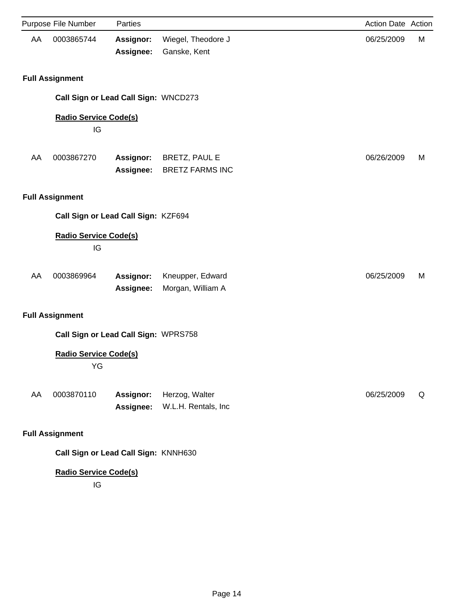|    | Purpose File Number                  | Parties                       |                                         | Action Date Action |   |
|----|--------------------------------------|-------------------------------|-----------------------------------------|--------------------|---|
| AA | 0003865744                           | <b>Assignor:</b><br>Assignee: | Wiegel, Theodore J<br>Ganske, Kent      | 06/25/2009         | M |
|    | <b>Full Assignment</b>               |                               |                                         |                    |   |
|    | Call Sign or Lead Call Sign: WNCD273 |                               |                                         |                    |   |
|    | <b>Radio Service Code(s)</b><br>IG   |                               |                                         |                    |   |
| AA | 0003867270                           | Assignor:<br>Assignee:        | BRETZ, PAUL E<br><b>BRETZ FARMS INC</b> | 06/26/2009         | М |
|    | <b>Full Assignment</b>               |                               |                                         |                    |   |
|    | Call Sign or Lead Call Sign: KZF694  |                               |                                         |                    |   |
|    | <b>Radio Service Code(s)</b><br>IG   |                               |                                         |                    |   |
| AA | 0003869964                           | Assignor:<br>Assignee:        | Kneupper, Edward<br>Morgan, William A   | 06/25/2009         | М |
|    | <b>Full Assignment</b>               |                               |                                         |                    |   |
|    | Call Sign or Lead Call Sign: WPRS758 |                               |                                         |                    |   |
|    | <b>Radio Service Code(s)</b><br>YG   |                               |                                         |                    |   |
| AA | 0003870110                           | Assignor:<br>Assignee:        | Herzog, Walter<br>W.L.H. Rentals, Inc   | 06/25/2009         | Q |
|    | <b>Full Assignment</b>               |                               |                                         |                    |   |
|    | Call Sign or Lead Call Sign: KNNH630 |                               |                                         |                    |   |
|    | <b>Radio Service Code(s)</b>         |                               |                                         |                    |   |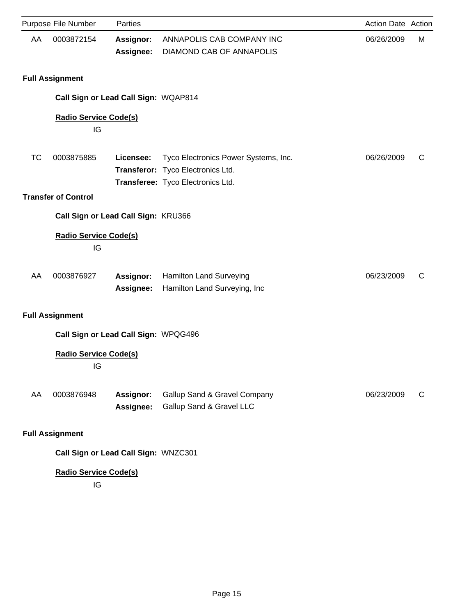|    | Purpose File Number                  | Parties                |                                                                                                                | Action Date Action |   |
|----|--------------------------------------|------------------------|----------------------------------------------------------------------------------------------------------------|--------------------|---|
| AA | 0003872154                           | Assignor:<br>Assignee: | ANNAPOLIS CAB COMPANY INC<br>DIAMOND CAB OF ANNAPOLIS                                                          | 06/26/2009         | М |
|    | <b>Full Assignment</b>               |                        |                                                                                                                |                    |   |
|    | Call Sign or Lead Call Sign: WQAP814 |                        |                                                                                                                |                    |   |
|    | <b>Radio Service Code(s)</b><br>IG   |                        |                                                                                                                |                    |   |
| ТC | 0003875885                           | Licensee:              | Tyco Electronics Power Systems, Inc.<br>Transferor: Tyco Electronics Ltd.<br>Transferee: Tyco Electronics Ltd. | 06/26/2009         | C |
|    | <b>Transfer of Control</b>           |                        |                                                                                                                |                    |   |
|    | Call Sign or Lead Call Sign: KRU366  |                        |                                                                                                                |                    |   |
|    | <b>Radio Service Code(s)</b><br>IG   |                        |                                                                                                                |                    |   |
| AA | 0003876927                           | Assignor:<br>Assignee: | Hamilton Land Surveying<br>Hamilton Land Surveying, Inc                                                        | 06/23/2009         | C |
|    | <b>Full Assignment</b>               |                        |                                                                                                                |                    |   |
|    | Call Sign or Lead Call Sign: WPQG496 |                        |                                                                                                                |                    |   |
|    | <b>Radio Service Code(s)</b><br>IG   |                        |                                                                                                                |                    |   |
| AA | 0003876948                           | Assignor:<br>Assignee: | <b>Gallup Sand &amp; Gravel Company</b><br>Gallup Sand & Gravel LLC                                            | 06/23/2009         | C |
|    | <b>Full Assignment</b>               |                        |                                                                                                                |                    |   |

**Call Sign or Lead Call Sign:** WNZC301

# **Radio Service Code(s)**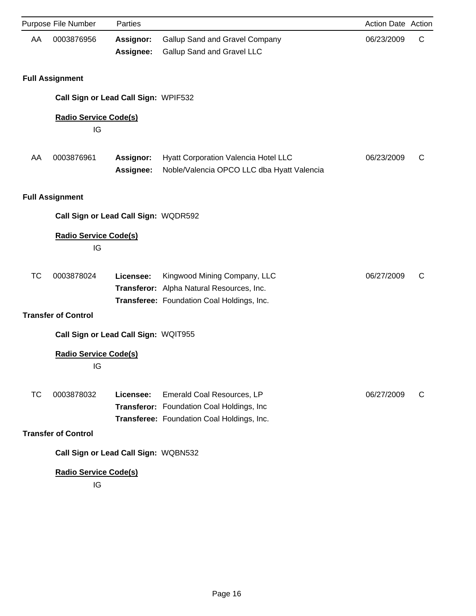|           | Purpose File Number                  | Parties                |                                                              | <b>Action Date Action</b> |   |
|-----------|--------------------------------------|------------------------|--------------------------------------------------------------|---------------------------|---|
| AA        | 0003876956                           | Assignor:<br>Assignee: | Gallup Sand and Gravel Company<br>Gallup Sand and Gravel LLC | 06/23/2009                | C |
|           | <b>Full Assignment</b>               |                        |                                                              |                           |   |
|           | Call Sign or Lead Call Sign: WPIF532 |                        |                                                              |                           |   |
|           | <b>Radio Service Code(s)</b>         |                        |                                                              |                           |   |
|           | IG                                   |                        |                                                              |                           |   |
|           |                                      |                        |                                                              |                           |   |
| AA        | 0003876961                           | Assignor:              | Hyatt Corporation Valencia Hotel LLC                         | 06/23/2009                | C |
|           |                                      | Assignee:              | Noble/Valencia OPCO LLC dba Hyatt Valencia                   |                           |   |
|           | <b>Full Assignment</b>               |                        |                                                              |                           |   |
|           | Call Sign or Lead Call Sign: WQDR592 |                        |                                                              |                           |   |
|           | <b>Radio Service Code(s)</b>         |                        |                                                              |                           |   |
|           | IG                                   |                        |                                                              |                           |   |
|           |                                      |                        |                                                              |                           |   |
| <b>TC</b> | 0003878024                           | Licensee:              | Kingwood Mining Company, LLC                                 | 06/27/2009                | C |
|           |                                      |                        | Transferor: Alpha Natural Resources, Inc.                    |                           |   |
|           | <b>Transfer of Control</b>           |                        | Transferee: Foundation Coal Holdings, Inc.                   |                           |   |
|           |                                      |                        |                                                              |                           |   |
|           | Call Sign or Lead Call Sign: WQIT955 |                        |                                                              |                           |   |
|           | <b>Radio Service Code(s)</b>         |                        |                                                              |                           |   |
|           | IG                                   |                        |                                                              |                           |   |
| ТC        | 0003878032                           | Licensee:              | <b>Emerald Coal Resources, LP</b>                            | 06/27/2009                | C |
|           |                                      |                        | Transferor: Foundation Coal Holdings, Inc.                   |                           |   |
|           |                                      |                        | Transferee: Foundation Coal Holdings, Inc.                   |                           |   |
|           | <b>Transfer of Control</b>           |                        |                                                              |                           |   |
|           | Call Sign or Lead Call Sign: WQBN532 |                        |                                                              |                           |   |
|           | <b>Radio Service Code(s)</b>         |                        |                                                              |                           |   |
|           | IG                                   |                        |                                                              |                           |   |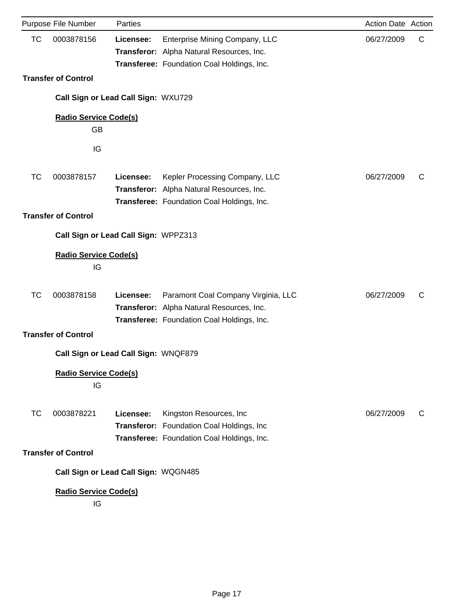|           | Purpose File Number                                                        | Parties   |                                                                                                                                | Action Date Action |   |
|-----------|----------------------------------------------------------------------------|-----------|--------------------------------------------------------------------------------------------------------------------------------|--------------------|---|
| <b>TC</b> | 0003878156                                                                 | Licensee: | Enterprise Mining Company, LLC<br>Transferor: Alpha Natural Resources, Inc.<br>Transferee: Foundation Coal Holdings, Inc.      | 06/27/2009         | C |
|           | <b>Transfer of Control</b>                                                 |           |                                                                                                                                |                    |   |
|           | Call Sign or Lead Call Sign: WXU729                                        |           |                                                                                                                                |                    |   |
|           | <b>Radio Service Code(s)</b>                                               |           |                                                                                                                                |                    |   |
|           | <b>GB</b>                                                                  |           |                                                                                                                                |                    |   |
|           | IG                                                                         |           |                                                                                                                                |                    |   |
| TC        | 0003878157                                                                 | Licensee: | Kepler Processing Company, LLC<br>Transferor: Alpha Natural Resources, Inc.<br>Transferee: Foundation Coal Holdings, Inc.      | 06/27/2009         | C |
|           | <b>Transfer of Control</b>                                                 |           |                                                                                                                                |                    |   |
|           | Call Sign or Lead Call Sign: WPPZ313                                       |           |                                                                                                                                |                    |   |
|           | <b>Radio Service Code(s)</b><br>IG                                         |           |                                                                                                                                |                    |   |
| <b>TC</b> | 0003878158<br><b>Transfer of Control</b>                                   | Licensee: | Paramont Coal Company Virginia, LLC<br>Transferor: Alpha Natural Resources, Inc.<br>Transferee: Foundation Coal Holdings, Inc. | 06/27/2009         | C |
|           | Call Sign or Lead Call Sign: WNQF879                                       |           |                                                                                                                                |                    |   |
|           | <b>Radio Service Code(s)</b><br>IG                                         |           |                                                                                                                                |                    |   |
| ТC        | 0003878221                                                                 | Licensee: | Kingston Resources, Inc.<br>Transferor: Foundation Coal Holdings, Inc.<br>Transferee: Foundation Coal Holdings, Inc.           | 06/27/2009         | C |
|           | <b>Transfer of Control</b>                                                 |           |                                                                                                                                |                    |   |
|           | Call Sign or Lead Call Sign: WQGN485<br><b>Radio Service Code(s)</b><br>IG |           |                                                                                                                                |                    |   |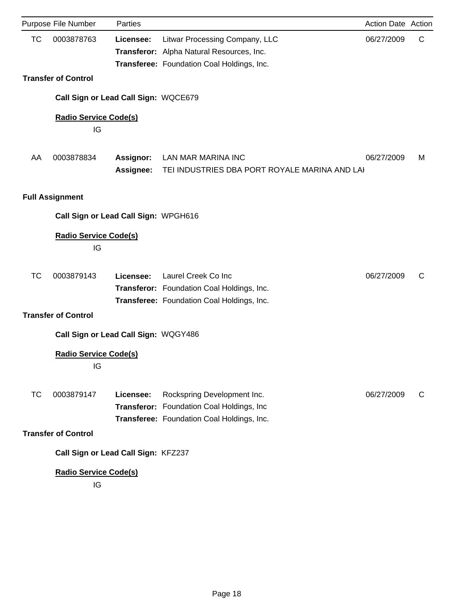|           | Purpose File Number                  | Parties          |                                               | Action Date Action |   |  |
|-----------|--------------------------------------|------------------|-----------------------------------------------|--------------------|---|--|
| <b>TC</b> | 0003878763                           | Licensee:        | Litwar Processing Company, LLC                | 06/27/2009         | C |  |
|           |                                      |                  | Transferor: Alpha Natural Resources, Inc.     |                    |   |  |
|           |                                      |                  | Transferee: Foundation Coal Holdings, Inc.    |                    |   |  |
|           | <b>Transfer of Control</b>           |                  |                                               |                    |   |  |
|           | Call Sign or Lead Call Sign: WQCE679 |                  |                                               |                    |   |  |
|           | <b>Radio Service Code(s)</b>         |                  |                                               |                    |   |  |
|           | IG                                   |                  |                                               |                    |   |  |
|           |                                      |                  |                                               |                    |   |  |
| AA        | 0003878834                           | <b>Assignor:</b> | LAN MAR MARINA INC                            | 06/27/2009         | M |  |
|           |                                      | Assignee:        | TEI INDUSTRIES DBA PORT ROYALE MARINA AND LAI |                    |   |  |
|           |                                      |                  |                                               |                    |   |  |
|           | <b>Full Assignment</b>               |                  |                                               |                    |   |  |
|           | Call Sign or Lead Call Sign: WPGH616 |                  |                                               |                    |   |  |
|           | <b>Radio Service Code(s)</b>         |                  |                                               |                    |   |  |
|           | IG                                   |                  |                                               |                    |   |  |
|           |                                      |                  |                                               |                    |   |  |
| <b>TC</b> | 0003879143                           | Licensee:        | Laurel Creek Co Inc                           | 06/27/2009         | C |  |
|           |                                      |                  | Transferor: Foundation Coal Holdings, Inc.    |                    |   |  |
|           |                                      |                  | Transferee: Foundation Coal Holdings, Inc.    |                    |   |  |
|           | <b>Transfer of Control</b>           |                  |                                               |                    |   |  |
|           | Call Sign or Lead Call Sign: WQGY486 |                  |                                               |                    |   |  |
|           | <b>Radio Service Code(s)</b>         |                  |                                               |                    |   |  |
|           | IG                                   |                  |                                               |                    |   |  |
|           |                                      |                  |                                               |                    |   |  |
| ТC        | 0003879147                           | Licensee:        | Rockspring Development Inc.                   | 06/27/2009         | C |  |
|           |                                      |                  | Transferor: Foundation Coal Holdings, Inc.    |                    |   |  |
|           |                                      |                  | Transferee: Foundation Coal Holdings, Inc.    |                    |   |  |
|           | <b>Transfer of Control</b>           |                  |                                               |                    |   |  |
|           | Call Sign or Lead Call Sign: KFZ237  |                  |                                               |                    |   |  |
|           | <b>Radio Service Code(s)</b>         |                  |                                               |                    |   |  |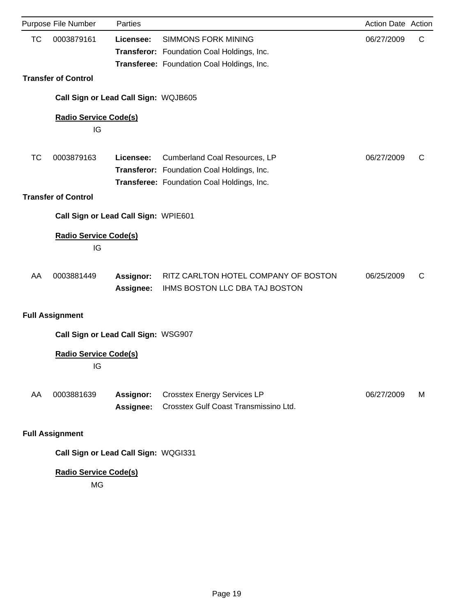|           | Purpose File Number                  | Parties                |                                                                        | Action Date Action |   |
|-----------|--------------------------------------|------------------------|------------------------------------------------------------------------|--------------------|---|
| <b>TC</b> | 0003879161                           | Licensee:              | <b>SIMMONS FORK MINING</b>                                             | 06/27/2009         | C |
|           |                                      |                        | Transferor: Foundation Coal Holdings, Inc.                             |                    |   |
|           |                                      |                        | Transferee: Foundation Coal Holdings, Inc.                             |                    |   |
|           | <b>Transfer of Control</b>           |                        |                                                                        |                    |   |
|           | Call Sign or Lead Call Sign: WQJB605 |                        |                                                                        |                    |   |
|           | <b>Radio Service Code(s)</b><br>IG   |                        |                                                                        |                    |   |
| TC        | 0003879163                           | Licensee:              | Cumberland Coal Resources, LP                                          | 06/27/2009         | C |
|           |                                      |                        | Transferor: Foundation Coal Holdings, Inc.                             |                    |   |
|           |                                      |                        | Transferee: Foundation Coal Holdings, Inc.                             |                    |   |
|           | <b>Transfer of Control</b>           |                        |                                                                        |                    |   |
|           | Call Sign or Lead Call Sign: WPIE601 |                        |                                                                        |                    |   |
|           | <b>Radio Service Code(s)</b><br>IG   |                        |                                                                        |                    |   |
| AA        | 0003881449                           | Assignor:<br>Assignee: | RITZ CARLTON HOTEL COMPANY OF BOSTON<br>IHMS BOSTON LLC DBA TAJ BOSTON | 06/25/2009         | C |
|           | <b>Full Assignment</b>               |                        |                                                                        |                    |   |
|           | Call Sign or Lead Call Sign: WSG907  |                        |                                                                        |                    |   |
|           | <b>Radio Service Code(s)</b><br>IG   |                        |                                                                        |                    |   |
| AA        | 0003881639                           | Assignor:              | <b>Crosstex Energy Services LP</b>                                     | 06/27/2009         | М |
|           |                                      | Assignee:              | Crosstex Gulf Coast Transmissino Ltd.                                  |                    |   |
|           | <b>Full Assignment</b>               |                        |                                                                        |                    |   |

**Call Sign or Lead Call Sign:** WQGI331

# **Radio Service Code(s)**

MG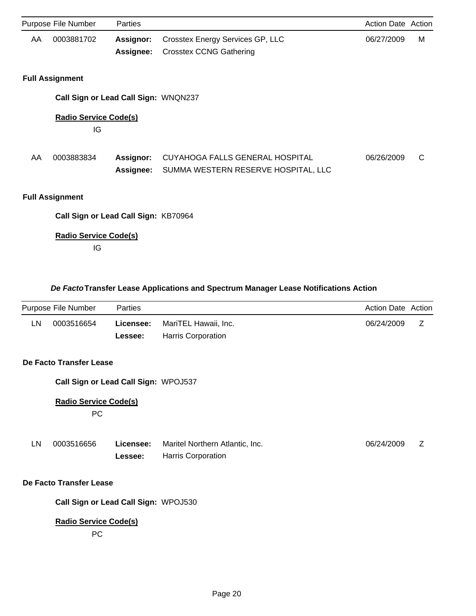|    | Purpose File Number                  | Parties                       |                                                                        | <b>Action Date Action</b> |   |
|----|--------------------------------------|-------------------------------|------------------------------------------------------------------------|---------------------------|---|
| AA | 0003881702                           | Assignor:<br>Assignee:        | Crosstex Energy Services GP, LLC<br><b>Crosstex CCNG Gathering</b>     | 06/27/2009                | м |
|    | <b>Full Assignment</b>               |                               |                                                                        |                           |   |
|    | Call Sign or Lead Call Sign: WNQN237 |                               |                                                                        |                           |   |
|    | <b>Radio Service Code(s)</b><br>IG   |                               |                                                                        |                           |   |
| AA | 0003883834                           | <b>Assignor:</b><br>Assignee: | CUYAHOGA FALLS GENERAL HOSPITAL<br>SUMMA WESTERN RESERVE HOSPITAL, LLC | 06/26/2009                | C |
|    | <b>Full Assignment</b>               |                               |                                                                        |                           |   |
|    | Call Sign or Lead Call Sign: KB70964 |                               |                                                                        |                           |   |
|    | <b>Radio Service Code(s)</b><br>IG   |                               |                                                                        |                           |   |

### *De Facto***Transfer Lease Applications and Spectrum Manager Lease Notifications Action**

|    | Purpose File Number                  | Parties              |                                                       | Action Date Action |   |
|----|--------------------------------------|----------------------|-------------------------------------------------------|--------------------|---|
| LN | 0003516654                           | Licensee:<br>Lessee: | MariTEL Hawaii, Inc.<br>Harris Corporation            | 06/24/2009         | Z |
|    | De Facto Transfer Lease              |                      |                                                       |                    |   |
|    | Call Sign or Lead Call Sign: WPOJ537 |                      |                                                       |                    |   |
|    | <b>Radio Service Code(s)</b><br>PC   |                      |                                                       |                    |   |
| LN | 0003516656                           | Licensee:<br>Lessee: | Maritel Northern Atlantic, Inc.<br>Harris Corporation | 06/24/2009         | Ζ |
|    | De Facto Transfer Lease              |                      |                                                       |                    |   |
|    | Call Sign or Lead Call Sign: WPOJ530 |                      |                                                       |                    |   |
|    | <b>Radio Service Code(s)</b><br>PC   |                      |                                                       |                    |   |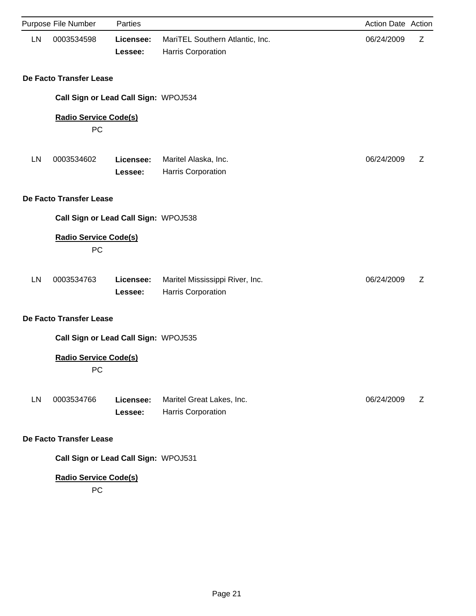|    | Purpose File Number                  | Parties              |                                                       | Action Date Action |   |
|----|--------------------------------------|----------------------|-------------------------------------------------------|--------------------|---|
| LN | 0003534598                           | Licensee:<br>Lessee: | MariTEL Southern Atlantic, Inc.<br>Harris Corporation | 06/24/2009         | Ζ |
|    | De Facto Transfer Lease              |                      |                                                       |                    |   |
|    | Call Sign or Lead Call Sign: WPOJ534 |                      |                                                       |                    |   |
|    | <b>Radio Service Code(s)</b><br>PC   |                      |                                                       |                    |   |
| LN | 0003534602                           | Licensee:<br>Lessee: | Maritel Alaska, Inc.<br>Harris Corporation            | 06/24/2009         | Ζ |
|    | De Facto Transfer Lease              |                      |                                                       |                    |   |
|    | Call Sign or Lead Call Sign: WPOJ538 |                      |                                                       |                    |   |
|    | <b>Radio Service Code(s)</b><br>PC   |                      |                                                       |                    |   |
| LN | 0003534763                           | Licensee:<br>Lessee: | Maritel Mississippi River, Inc.<br>Harris Corporation | 06/24/2009         | Z |
|    | De Facto Transfer Lease              |                      |                                                       |                    |   |
|    | Call Sign or Lead Call Sign: WPOJ535 |                      |                                                       |                    |   |
|    | <b>Radio Service Code(s)</b><br>PC   |                      |                                                       |                    |   |
| LN | 0003534766                           | Licensee:<br>Lessee: | Maritel Great Lakes, Inc.<br>Harris Corporation       | 06/24/2009         | Z |
|    | De Facto Transfer Lease              |                      |                                                       |                    |   |
|    | Call Sign or Lead Call Sign: WPOJ531 |                      |                                                       |                    |   |
|    | <b>Radio Service Code(s)</b><br>PC   |                      |                                                       |                    |   |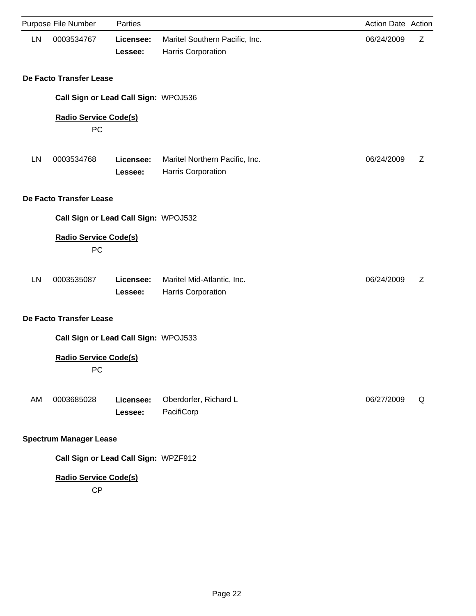|    | Purpose File Number                       | Parties              |                                                      | Action Date Action |   |
|----|-------------------------------------------|----------------------|------------------------------------------------------|--------------------|---|
| LN | 0003534767                                | Licensee:<br>Lessee: | Maritel Southern Pacific, Inc.<br>Harris Corporation | 06/24/2009         | Ζ |
|    | De Facto Transfer Lease                   |                      |                                                      |                    |   |
|    | Call Sign or Lead Call Sign: WPOJ536      |                      |                                                      |                    |   |
|    | <b>Radio Service Code(s)</b><br>PC        |                      |                                                      |                    |   |
| LN | 0003534768                                | Licensee:<br>Lessee: | Maritel Northern Pacific, Inc.<br>Harris Corporation | 06/24/2009         | Z |
|    | De Facto Transfer Lease                   |                      |                                                      |                    |   |
|    | Call Sign or Lead Call Sign: WPOJ532      |                      |                                                      |                    |   |
|    | <b>Radio Service Code(s)</b><br>PC        |                      |                                                      |                    |   |
| LN | 0003535087                                | Licensee:<br>Lessee: | Maritel Mid-Atlantic, Inc.<br>Harris Corporation     | 06/24/2009         | Z |
|    | De Facto Transfer Lease                   |                      |                                                      |                    |   |
|    | Call Sign or Lead Call Sign: WPOJ533      |                      |                                                      |                    |   |
|    | <b>Radio Service Code(s)</b><br>PC        |                      |                                                      |                    |   |
| AM | 0003685028                                | Licensee:<br>Lessee: | Oberdorfer, Richard L<br>PacifiCorp                  | 06/27/2009         | Q |
|    | <b>Spectrum Manager Lease</b>             |                      |                                                      |                    |   |
|    | Call Sign or Lead Call Sign: WPZF912      |                      |                                                      |                    |   |
|    | <b>Radio Service Code(s)</b><br><b>CP</b> |                      |                                                      |                    |   |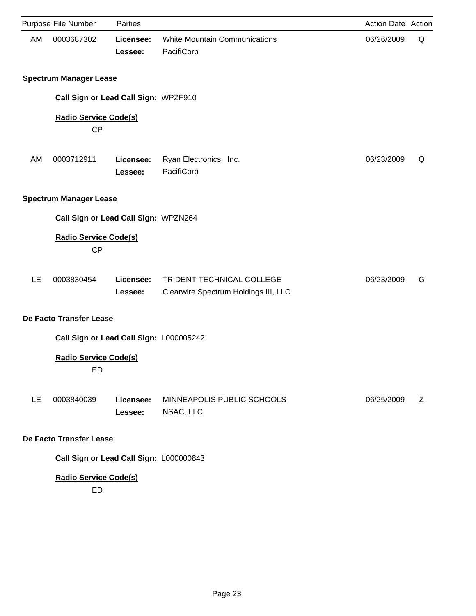|    | Purpose File Number                       | Parties              |                                                                   | Action Date Action |   |
|----|-------------------------------------------|----------------------|-------------------------------------------------------------------|--------------------|---|
| AM | 0003687302                                | Licensee:<br>Lessee: | <b>White Mountain Communications</b><br>PacifiCorp                | 06/26/2009         | Q |
|    | <b>Spectrum Manager Lease</b>             |                      |                                                                   |                    |   |
|    | Call Sign or Lead Call Sign: WPZF910      |                      |                                                                   |                    |   |
|    | <b>Radio Service Code(s)</b><br><b>CP</b> |                      |                                                                   |                    |   |
| AM | 0003712911                                | Licensee:<br>Lessee: | Ryan Electronics, Inc.<br>PacifiCorp                              | 06/23/2009         | Q |
|    | <b>Spectrum Manager Lease</b>             |                      |                                                                   |                    |   |
|    | Call Sign or Lead Call Sign: WPZN264      |                      |                                                                   |                    |   |
|    | <b>Radio Service Code(s)</b><br><b>CP</b> |                      |                                                                   |                    |   |
| LE | 0003830454                                | Licensee:<br>Lessee: | TRIDENT TECHNICAL COLLEGE<br>Clearwire Spectrum Holdings III, LLC | 06/23/2009         | G |
|    | De Facto Transfer Lease                   |                      |                                                                   |                    |   |
|    | Call Sign or Lead Call Sign: L000005242   |                      |                                                                   |                    |   |
|    | <b>Radio Service Code(s)</b><br>ED        |                      |                                                                   |                    |   |
| LE | 0003840039                                | Licensee:<br>Lessee: | MINNEAPOLIS PUBLIC SCHOOLS<br>NSAC, LLC                           | 06/25/2009         | Z |
|    | De Facto Transfer Lease                   |                      |                                                                   |                    |   |
|    | Call Sign or Lead Call Sign: L000000843   |                      |                                                                   |                    |   |
|    | <b>Radio Service Code(s)</b><br><b>ED</b> |                      |                                                                   |                    |   |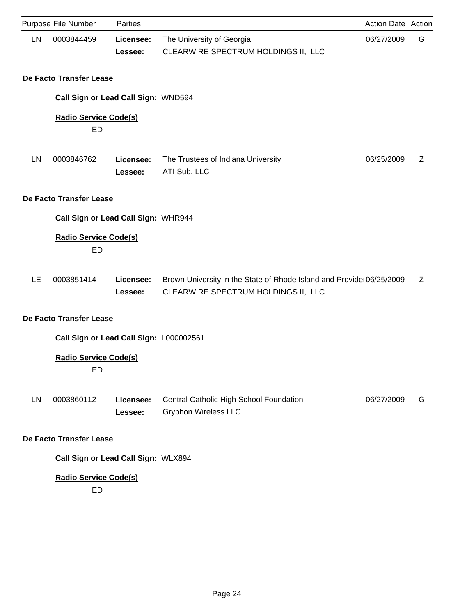|    | Purpose File Number                     | Parties              |                                                                                                             | Action Date Action |   |
|----|-----------------------------------------|----------------------|-------------------------------------------------------------------------------------------------------------|--------------------|---|
| LN | 0003844459                              | Licensee:<br>Lessee: | The University of Georgia<br>CLEARWIRE SPECTRUM HOLDINGS II, LLC                                            | 06/27/2009         | G |
|    | De Facto Transfer Lease                 |                      |                                                                                                             |                    |   |
|    | Call Sign or Lead Call Sign: WND594     |                      |                                                                                                             |                    |   |
|    | <b>Radio Service Code(s)</b><br>ED      |                      |                                                                                                             |                    |   |
| LN | 0003846762                              | Licensee:<br>Lessee: | The Trustees of Indiana University<br>ATI Sub, LLC                                                          | 06/25/2009         | Ζ |
|    | De Facto Transfer Lease                 |                      |                                                                                                             |                    |   |
|    | Call Sign or Lead Call Sign: WHR944     |                      |                                                                                                             |                    |   |
|    | <b>Radio Service Code(s)</b><br>ED      |                      |                                                                                                             |                    |   |
| LE | 0003851414                              | Licensee:<br>Lessee: | Brown University in the State of Rhode Island and Provide 06/25/2009<br>CLEARWIRE SPECTRUM HOLDINGS II, LLC |                    | Z |
|    | De Facto Transfer Lease                 |                      |                                                                                                             |                    |   |
|    | Call Sign or Lead Call Sign: L000002561 |                      |                                                                                                             |                    |   |
|    | <b>Radio Service Code(s)</b><br>ED      |                      |                                                                                                             |                    |   |
| LN | 0003860112                              | Licensee:<br>Lessee: | Central Catholic High School Foundation<br><b>Gryphon Wireless LLC</b>                                      | 06/27/2009         | G |
|    | De Facto Transfer Lease                 |                      |                                                                                                             |                    |   |
|    | Call Sign or Lead Call Sign: WLX894     |                      |                                                                                                             |                    |   |
|    | <b>Radio Service Code(s)</b><br>ED      |                      |                                                                                                             |                    |   |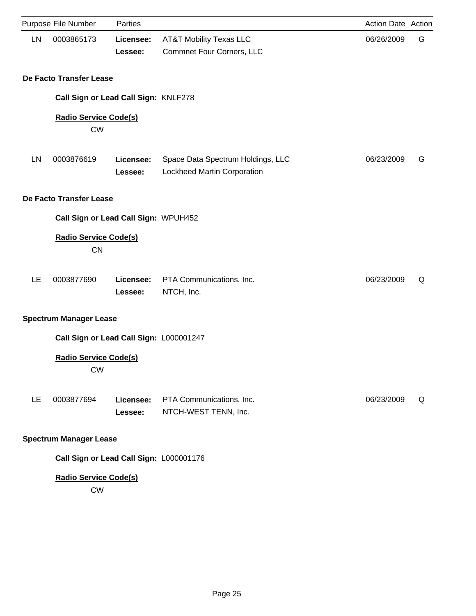|    | Purpose File Number                       | Parties              |                                                                  | Action Date Action |   |
|----|-------------------------------------------|----------------------|------------------------------------------------------------------|--------------------|---|
| LN | 0003865173                                | Licensee:<br>Lessee: | <b>AT&amp;T Mobility Texas LLC</b><br>Commnet Four Corners, LLC  | 06/26/2009         | G |
|    | De Facto Transfer Lease                   |                      |                                                                  |                    |   |
|    | Call Sign or Lead Call Sign: KNLF278      |                      |                                                                  |                    |   |
|    | <b>Radio Service Code(s)</b><br><b>CW</b> |                      |                                                                  |                    |   |
| LN | 0003876619                                | Licensee:<br>Lessee: | Space Data Spectrum Holdings, LLC<br>Lockheed Martin Corporation | 06/23/2009         | G |
|    | De Facto Transfer Lease                   |                      |                                                                  |                    |   |
|    | Call Sign or Lead Call Sign: WPUH452      |                      |                                                                  |                    |   |
|    | <b>Radio Service Code(s)</b><br><b>CN</b> |                      |                                                                  |                    |   |
| LE | 0003877690                                | Licensee:<br>Lessee: | PTA Communications, Inc.<br>NTCH, Inc.                           | 06/23/2009         | Q |
|    | <b>Spectrum Manager Lease</b>             |                      |                                                                  |                    |   |
|    | Call Sign or Lead Call Sign: L000001247   |                      |                                                                  |                    |   |
|    | <b>Radio Service Code(s)</b><br><b>CW</b> |                      |                                                                  |                    |   |
| LE | 0003877694                                | Licensee:<br>Lessee: | PTA Communications, Inc.<br>NTCH-WEST TENN, Inc.                 | 06/23/2009         | Q |
|    | <b>Spectrum Manager Lease</b>             |                      |                                                                  |                    |   |
|    | Call Sign or Lead Call Sign: L000001176   |                      |                                                                  |                    |   |
|    | <b>Radio Service Code(s)</b><br><b>CW</b> |                      |                                                                  |                    |   |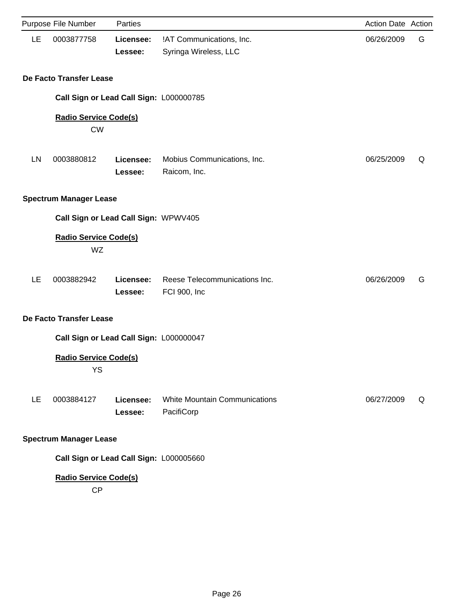|           | Purpose File Number                       | Parties              |                                                       | Action Date Action |   |
|-----------|-------------------------------------------|----------------------|-------------------------------------------------------|--------------------|---|
| LE        | 0003877758                                | Licensee:<br>Lessee: | !AT Communications, Inc.<br>Syringa Wireless, LLC     | 06/26/2009         | G |
|           | De Facto Transfer Lease                   |                      |                                                       |                    |   |
|           | Call Sign or Lead Call Sign: L000000785   |                      |                                                       |                    |   |
|           | <b>Radio Service Code(s)</b><br><b>CW</b> |                      |                                                       |                    |   |
| <b>LN</b> | 0003880812                                | Licensee:<br>Lessee: | Mobius Communications, Inc.<br>Raicom, Inc.           | 06/25/2009         | Q |
|           | <b>Spectrum Manager Lease</b>             |                      |                                                       |                    |   |
|           | Call Sign or Lead Call Sign: WPWV405      |                      |                                                       |                    |   |
|           | <b>Radio Service Code(s)</b><br>WZ        |                      |                                                       |                    |   |
| LE        | 0003882942                                | Licensee:<br>Lessee: | Reese Telecommunications Inc.<br><b>FCI 900, Inc.</b> | 06/26/2009         | G |
|           | De Facto Transfer Lease                   |                      |                                                       |                    |   |
|           | Call Sign or Lead Call Sign: L000000047   |                      |                                                       |                    |   |
|           | <b>Radio Service Code(s)</b><br><b>YS</b> |                      |                                                       |                    |   |
| LE        | 0003884127                                | Licensee:<br>Lessee: | <b>White Mountain Communications</b><br>PacifiCorp    | 06/27/2009         | Q |
|           | <b>Spectrum Manager Lease</b>             |                      |                                                       |                    |   |
|           | Call Sign or Lead Call Sign: L000005660   |                      |                                                       |                    |   |
|           | <b>Radio Service Code(s)</b><br>CP        |                      |                                                       |                    |   |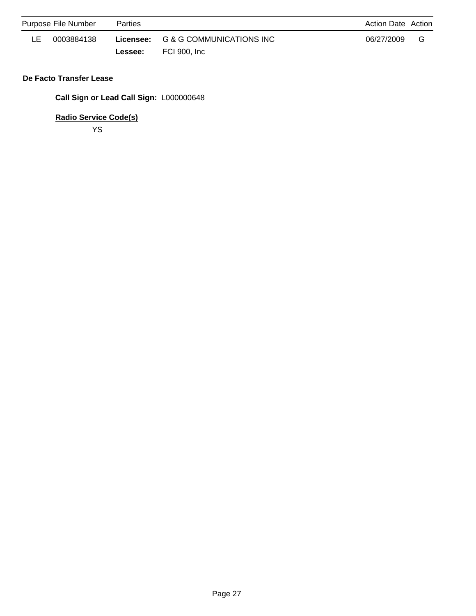| Purpose File Number |            | Parties |                                    |            | Action Date Action |
|---------------------|------------|---------|------------------------------------|------------|--------------------|
| LE                  | 0003884138 |         | Licensee: G & G COMMUNICATIONS INC | 06/27/2009 | G                  |
|                     |            | Lessee: | FCI 900. Inc                       |            |                    |

### **De Facto Transfer Lease**

**Call Sign or Lead Call Sign:** L000000648

**Radio Service Code(s)**

YS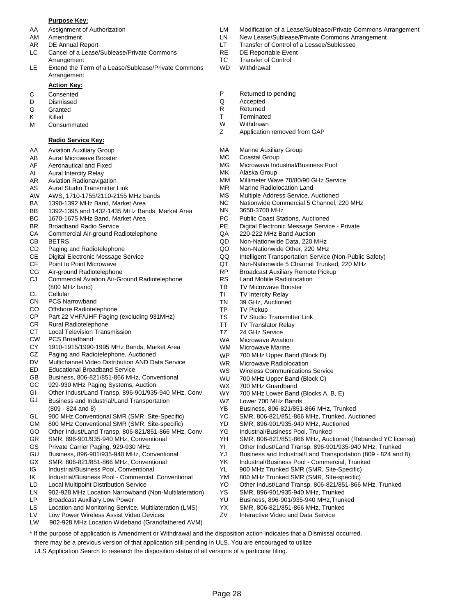#### **Purpose Key:**

- 
- 
- 
- LC Cancel of a Lease/Sublease/Private Commons RE DE Reportable Event Arrangement TC Transfer of Control
- LE Extend the Term of a Lease/Sublease/Private Commons WD Withdrawal Arrangement

#### **Action Key:**

- 
- D Dismissed Q Accepted
- 
- 
- M Consummated M W Withdrawn<br>
Z Application

#### **Radio Service Key:**

- AA Aviation Auxiliary Group
- AB Aural Microwave Booster
- AF Aeronautical and Fixed
- AI Aural Intercity Relay
- AR Aviation Radionavigation
- AS Aural Studio Transmitter Link
- AW AWS, 1710-1755/2110-2155 MHz bands
- BA 1390-1392 MHz Band, Market Area
- BB 1392-1395 and 1432-1435 MHz Bands, Market Area
- BC 1670-1675 MHz Band, Market Area
- BR Broadband Radio Service
- CA Commercial Air-ground Radiotelephone
- CB BETRS
- CD Paging and Radiotelephone
- CE Digital Electronic Message Service
- CF Point to Point Microwave
- CG Air-ground Radiotelephone
- CJ Commercial Aviation Air-Ground Radiotelephone (800 MHz band)
- CL **Cellular**
- CN PCS Narrowband
- CO Offshore Radiotelephone
- CP Part 22 VHF/UHF Paging (excluding 931MHz)
- CR Rural Radiotelephone
- CT Local Television Transmission
- CW PCS Broadband
- CY 1910-1915/1990-1995 MHz Bands, Market Area
- CZ Paging and Radiotelephone, Auctioned
- DV Multichannel Video Distribution AND Data Service
- ED Educational Broadband Service
- GB Business, 806-821/851-866 MHz, Conventional
- GC 929-930 MHz Paging Systems, Auction
- GI Other Indust/Land Transp, 896-901/935-940 MHz, Conv.
- GJ Business and Industrial/Land Transportation (809 - 824 and 8)
- GL 900 MHz Conventional SMR (SMR, Site-Specific)
- GM 800 MHz Conventional SMR (SMR, Site-specific)
- GO Other Indust/Land Transp, 806-821/851-866 MHz, Conv.
- GR SMR, 896-901/935-940 MHz, Conventional
- GS Private Carrier Paging, 929-930 MHz
- GU Business, 896-901/935-940 MHz, Conventional
- GX SMR, 806-821/851-866 MHz, Conventional
- IG Industrial/Business Pool, Conventional
- IK Industrial/Business Pool Commercial, Conventional
- LD Local Multipoint Distribution Service
- LN 902-928 MHz Location Narrowband (Non-Multilateration)
- LP Broadcast Auxiliary Low Power
- Location and Monitoring Service, Multilateration (LMS) LS
- Low Power Wireless Assist Video Devices LV
- LW 902-928 MHz Location Wideband (Grandfathered AVM)
- AA Assignment of Authorization LM Modification of a Lease/Sublease/Private Commons Arrangement
- AM Amendment LN New Lease/Sublease/Private Commons Arrangement
- AR DE Annual Report **LT** Transfer of Control of a Lessee/Sublessee
	-
	-
	-
- C Consented **C** Consented **P** Returned to pending **D** Dismissed **P** Returned to pending
	-
- G Granted **R** Returned
- K Killed T Terminated
	-
	- Application removed from GAP
	- MA Marine Auxiliary Group
	- MC Coastal Group
	- MG Microwave Industrial/Business Pool
	- MK Alaska Group
	- MM Millimeter Wave 70/80/90 GHz Service
	- MR Marine Radiolocation Land
	- MS Multiple Address Service, Auctioned
	- NC Nationwide Commercial 5 Channel, 220 MHz
		- NN 3650-3700 MHz
		- PC Public Coast Stations, Auctioned
		- PE Digital Electronic Message Service Private
		- QA 220-222 MHz Band Auction
		- QD Non-Nationwide Data, 220 MHz
		- QO Non-Nationwide Other, 220 MHz
		- QQ Intelligent Transportation Service (Non-Public Safety)
		- QT Non-Nationwide 5 Channel Trunked, 220 MHz
		- RP Broadcast Auxiliary Remote Pickup
		- RS Land Mobile Radiolocation
		- TB TV Microwave Booster
		- TI TV Intercity Relay
		- TN 39 GHz, Auctioned
		- TP TV Pickup

WS WU

YD

Page 28

\* If the purpose of application is Amendment or Withdrawal and the disposition action indicates that a Dismissal occurred,

there may be a previous version of that application still pending in ULS. You are encouraged to utilize ULS Application Search to research the disposition status of all versions of a particular filing.

WZ WX WY

TS TV Studio Transmitter Link

WR Microwave Radiolocation

Lower 700 MHz Bands

700 MHz Guardband

YG Industrial/Business Pool, Trunked

YS SMR, 896-901/935-940 MHz, Trunked YU Business, 896-901/935-940 MHz,Trunked YX SMR, 806-821/851-866 MHz, Trunked ZV Interactive Video and Data Service

Wireless Communications Service 700 MHz Upper Band (Block C)

YB Business, 806-821/851-866 MHz, Trunked YC SMR, 806-821/851-866 MHz, Trunked, Auctioned SMR, 896-901/935-940 MHz, Auctioned

700 MHz Lower Band (Blocks A, B, E)

YK Industrial/Business Pool - Commercial, Trunked YL 900 MHz Trunked SMR (SMR, Site-Specific) YM 800 MHz Trunked SMR (SMR, Site-specific)

YH SMR, 806-821/851-866 MHz, Auctioned (Rebanded YC license) YI Other Indust/Land Transp. 896-901/935-940 MHz, Trunked YJ Business and Industrial/Land Transportation (809 - 824 and 8)

YO Other Indust/Land Transp. 806-821/851-866 MHz, Trunked

- TT TV Translator Relay
- TZ 24 GHz Service
- WA Microwave Aviation
- WM WP Microwave Marine 700 MHz Upper Band (Block D)